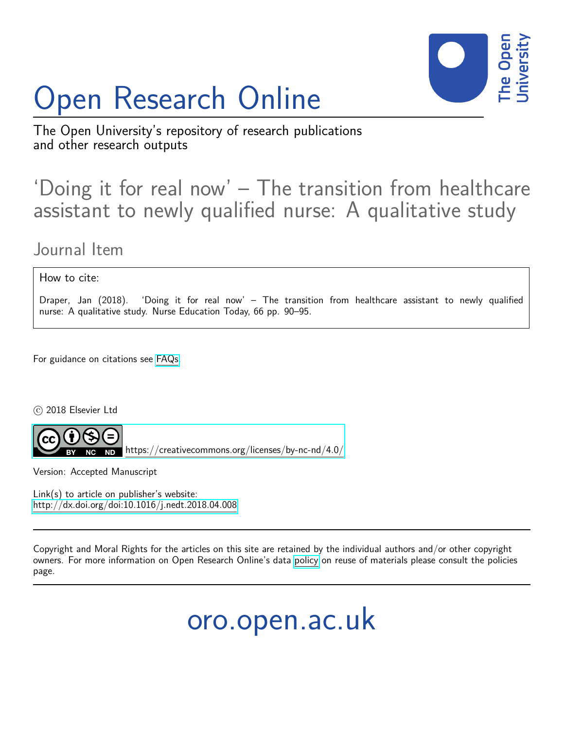# Open Research Online



The Open University's repository of research publications and other research outputs

## 'Doing it for real now' – The transition from healthcare assistant to newly qualified nurse: A qualitative study

### Journal Item

#### How to cite:

Draper, Jan (2018). 'Doing it for real now' – The transition from healthcare assistant to newly qualified nurse: A qualitative study. Nurse Education Today, 66 pp. 90–95.

For guidance on citations see [FAQs.](http://oro.open.ac.uk/help/helpfaq.html)

c 2018 Elsevier Ltd



 $N$ D <https://creativecommons.org/licenses/by-nc-nd/4.0/>

Version: Accepted Manuscript

Link(s) to article on publisher's website: <http://dx.doi.org/doi:10.1016/j.nedt.2018.04.008>

Copyright and Moral Rights for the articles on this site are retained by the individual authors and/or other copyright owners. For more information on Open Research Online's data [policy](http://oro.open.ac.uk/policies.html) on reuse of materials please consult the policies page.

oro.open.ac.uk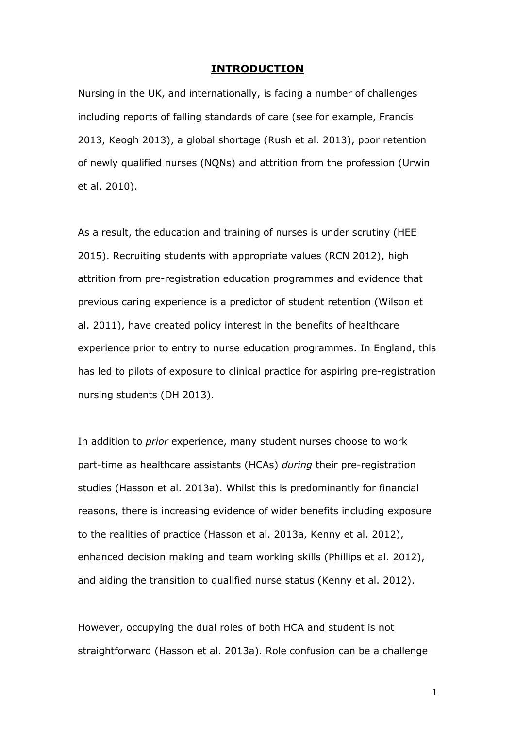#### **INTRODUCTION**

Nursing in the UK, and internationally, is facing a number of challenges including reports of falling standards of care (see for example, Francis 2013, Keogh 2013), a global shortage (Rush et al. 2013), poor retention of newly qualified nurses (NQNs) and attrition from the profession (Urwin et al. 2010).

As a result, the education and training of nurses is under scrutiny (HEE 2015). Recruiting students with appropriate values (RCN 2012), high attrition from pre-registration education programmes and evidence that previous caring experience is a predictor of student retention (Wilson et al. 2011), have created policy interest in the benefits of healthcare experience prior to entry to nurse education programmes. In England, this has led to pilots of exposure to clinical practice for aspiring pre-registration nursing students (DH 2013).

In addition to *prior* experience, many student nurses choose to work part-time as healthcare assistants (HCAs) *during* their pre-registration studies (Hasson et al. 2013a). Whilst this is predominantly for financial reasons, there is increasing evidence of wider benefits including exposure to the realities of practice (Hasson et al. 2013a, Kenny et al. 2012), enhanced decision making and team working skills (Phillips et al. 2012), and aiding the transition to qualified nurse status (Kenny et al. 2012).

However, occupying the dual roles of both HCA and student is not straightforward (Hasson et al. 2013a). Role confusion can be a challenge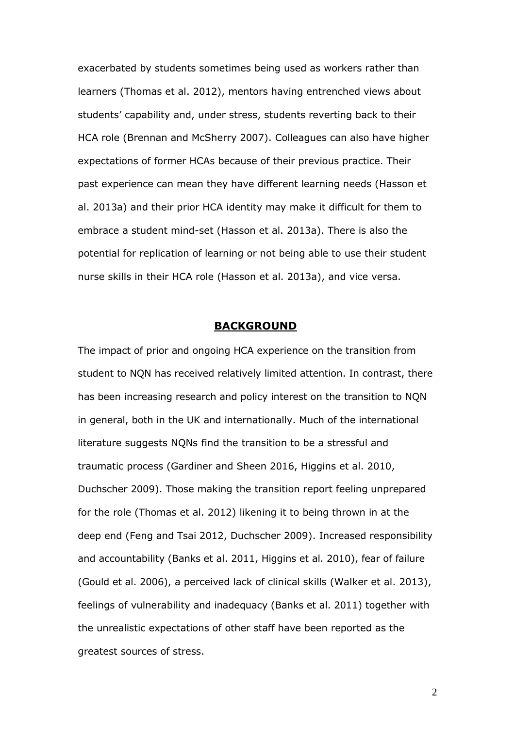exacerbated by students sometimes being used as workers rather than learners (Thomas et al. 2012), mentors having entrenched views about students' capability and, under stress, students reverting back to their HCA role (Brennan and McSherry 2007). Colleagues can also have higher expectations of former HCAs because of their previous practice. Their past experience can mean they have different learning needs (Hasson et al. 2013a) and their prior HCA identity may make it difficult for them to embrace a student mind-set (Hasson et al. 2013a). There is also the potential for replication of learning or not being able to use their student nurse skills in their HCA role (Hasson et al. 2013a), and vice versa.

#### **BACKGROUND**

The impact of prior and ongoing HCA experience on the transition from student to NQN has received relatively limited attention. In contrast, there has been increasing research and policy interest on the transition to NQN in general, both in the UK and internationally. Much of the international literature suggests NQNs find the transition to be a stressful and traumatic process (Gardiner and Sheen 2016, Higgins et al. 2010, Duchscher 2009). Those making the transition report feeling unprepared for the role (Thomas et al. 2012) likening it to being thrown in at the deep end (Feng and Tsai 2012, Duchscher 2009). Increased responsibility and accountability (Banks et al. 2011, Higgins et al. 2010), fear of failure (Gould et al. 2006), a perceived lack of clinical skills (Walker et al. 2013), feelings of vulnerability and inadequacy (Banks et al. 2011) together with the unrealistic expectations of other staff have been reported as the greatest sources of stress.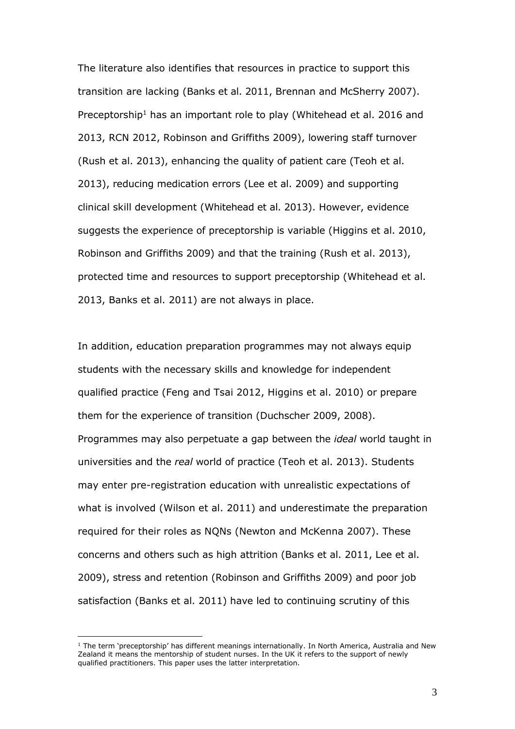The literature also identifies that resources in practice to support this transition are lacking (Banks et al. 2011, Brennan and McSherry 2007). Preceptorship<sup>1</sup> has an important role to play (Whitehead et al. 2016 and 2013, RCN 2012, Robinson and Griffiths 2009), lowering staff turnover (Rush et al. 2013), enhancing the quality of patient care (Teoh et al. 2013), reducing medication errors (Lee et al. 2009) and supporting clinical skill development (Whitehead et al. 2013). However, evidence suggests the experience of preceptorship is variable (Higgins et al. 2010, Robinson and Griffiths 2009) and that the training (Rush et al. 2013), protected time and resources to support preceptorship (Whitehead et al. 2013, Banks et al. 2011) are not always in place.

In addition, education preparation programmes may not always equip students with the necessary skills and knowledge for independent qualified practice (Feng and Tsai 2012, Higgins et al. 2010) or prepare them for the experience of transition (Duchscher 2009, 2008). Programmes may also perpetuate a gap between the *ideal* world taught in universities and the *real* world of practice (Teoh et al. 2013). Students may enter pre-registration education with unrealistic expectations of what is involved (Wilson et al. 2011) and underestimate the preparation required for their roles as NQNs (Newton and McKenna 2007). These concerns and others such as high attrition (Banks et al. 2011, Lee et al. 2009), stress and retention (Robinson and Griffiths 2009) and poor job satisfaction (Banks et al. 2011) have led to continuing scrutiny of this

 $1$  The term 'preceptorship' has different meanings internationally. In North America, Australia and New Zealand it means the mentorship of student nurses. In the UK it refers to the support of newly qualified practitioners. This paper uses the latter interpretation.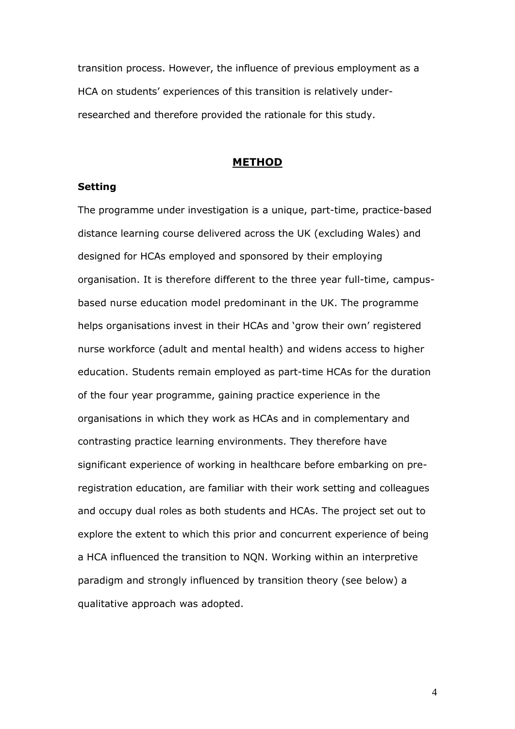transition process. However, the influence of previous employment as a HCA on students' experiences of this transition is relatively underresearched and therefore provided the rationale for this study.

#### **METHOD**

#### **Setting**

The programme under investigation is a unique, part-time, practice-based distance learning course delivered across the UK (excluding Wales) and designed for HCAs employed and sponsored by their employing organisation. It is therefore different to the three year full-time, campusbased nurse education model predominant in the UK. The programme helps organisations invest in their HCAs and 'grow their own' registered nurse workforce (adult and mental health) and widens access to higher education. Students remain employed as part-time HCAs for the duration of the four year programme, gaining practice experience in the organisations in which they work as HCAs and in complementary and contrasting practice learning environments. They therefore have significant experience of working in healthcare before embarking on preregistration education, are familiar with their work setting and colleagues and occupy dual roles as both students and HCAs. The project set out to explore the extent to which this prior and concurrent experience of being a HCA influenced the transition to NQN. Working within an interpretive paradigm and strongly influenced by transition theory (see below) a qualitative approach was adopted.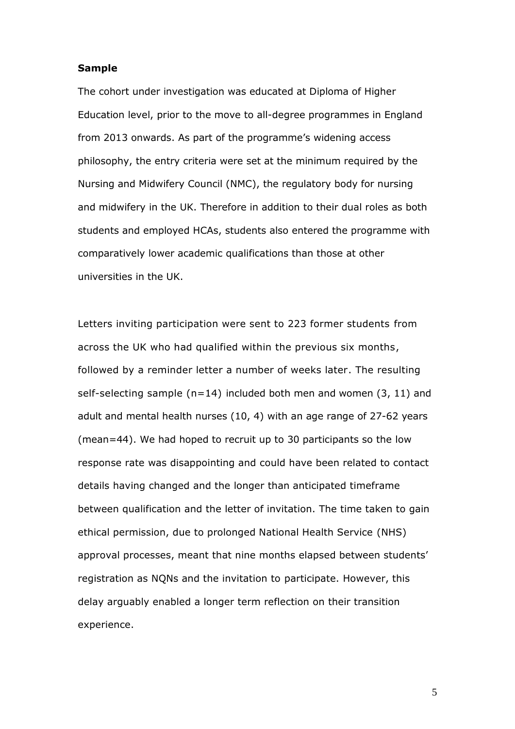#### **Sample**

The cohort under investigation was educated at Diploma of Higher Education level, prior to the move to all-degree programmes in England from 2013 onwards. As part of the programme's widening access philosophy, the entry criteria were set at the minimum required by the Nursing and Midwifery Council (NMC), the regulatory body for nursing and midwifery in the UK. Therefore in addition to their dual roles as both students and employed HCAs, students also entered the programme with comparatively lower academic qualifications than those at other universities in the UK.

Letters inviting participation were sent to 223 former students from across the UK who had qualified within the previous six months, followed by a reminder letter a number of weeks later. The resulting self-selecting sample ( $n=14$ ) included both men and women (3, 11) and adult and mental health nurses (10, 4) with an age range of 27-62 years (mean=44). We had hoped to recruit up to 30 participants so the low response rate was disappointing and could have been related to contact details having changed and the longer than anticipated timeframe between qualification and the letter of invitation. The time taken to gain ethical permission, due to prolonged National Health Service (NHS) approval processes, meant that nine months elapsed between students' registration as NQNs and the invitation to participate. However, this delay arguably enabled a longer term reflection on their transition experience.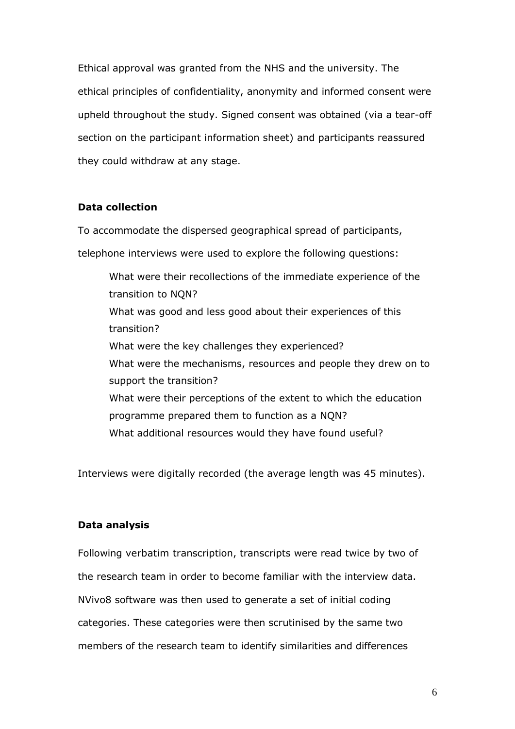Ethical approval was granted from the NHS and the university. The ethical principles of confidentiality, anonymity and informed consent were upheld throughout the study. Signed consent was obtained (via a tear-off section on the participant information sheet) and participants reassured they could withdraw at any stage.

#### **Data collection**

To accommodate the dispersed geographical spread of participants,

telephone interviews were used to explore the following questions:

What were their recollections of the immediate experience of the transition to NQN? What was good and less good about their experiences of this transition? What were the key challenges they experienced? What were the mechanisms, resources and people they drew on to support the transition? What were their perceptions of the extent to which the education programme prepared them to function as a NQN? What additional resources would they have found useful?

Interviews were digitally recorded (the average length was 45 minutes).

#### **Data analysis**

Following verbatim transcription, transcripts were read twice by two of the research team in order to become familiar with the interview data. NVivo8 software was then used to generate a set of initial coding categories. These categories were then scrutinised by the same two members of the research team to identify similarities and differences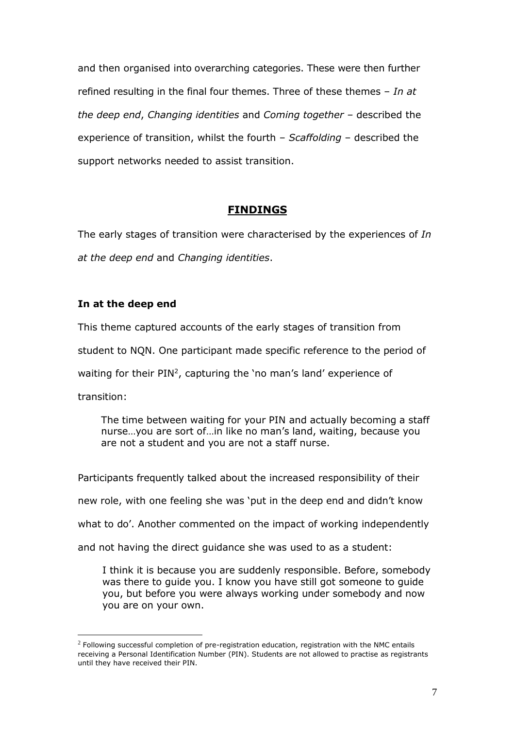and then organised into overarching categories. These were then further refined resulting in the final four themes. Three of these themes – *In at the deep end*, *Changing identities* and *Coming together –* described the experience of transition, whilst the fourth – *Scaffolding* – described the support networks needed to assist transition.

#### **FINDINGS**

The early stages of transition were characterised by the experiences of *In at the deep end* and *Changing identities*.

#### **In at the deep end**

This theme captured accounts of the early stages of transition from

student to NQN. One participant made specific reference to the period of

waiting for their  $PIN^2$ , capturing the 'no man's land' experience of

transition:

1

The time between waiting for your PIN and actually becoming a staff nurse…you are sort of…in like no man's land, waiting, because you are not a student and you are not a staff nurse.

Participants frequently talked about the increased responsibility of their new role, with one feeling she was 'put in the deep end and didn't know what to do'. Another commented on the impact of working independently and not having the direct guidance she was used to as a student:

I think it is because you are suddenly responsible. Before, somebody was there to guide you. I know you have still got someone to guide you, but before you were always working under somebody and now you are on your own.

 $<sup>2</sup>$  Following successful completion of pre-registration education, registration with the NMC entails</sup> receiving a Personal Identification Number (PIN). Students are not allowed to practise as registrants until they have received their PIN.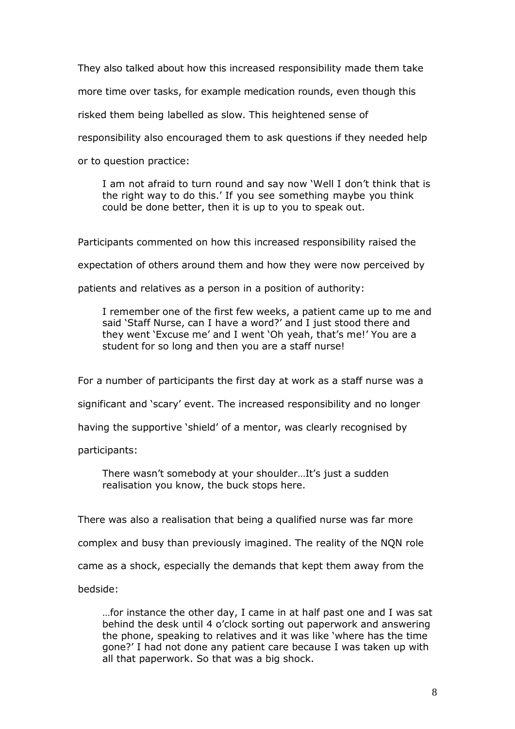They also talked about how this increased responsibility made them take more time over tasks, for example medication rounds, even though this risked them being labelled as slow. This heightened sense of responsibility also encouraged them to ask questions if they needed help or to question practice:

I am not afraid to turn round and say now 'Well I don't think that is the right way to do this.' If you see something maybe you think could be done better, then it is up to you to speak out.

Participants commented on how this increased responsibility raised the

expectation of others around them and how they were now perceived by

patients and relatives as a person in a position of authority:

I remember one of the first few weeks, a patient came up to me and said 'Staff Nurse, can I have a word?' and I just stood there and they went 'Excuse me' and I went 'Oh yeah, that's me!' You are a student for so long and then you are a staff nurse!

For a number of participants the first day at work as a staff nurse was a

significant and 'scary' event. The increased responsibility and no longer

having the supportive 'shield' of a mentor, was clearly recognised by

participants:

There wasn't somebody at your shoulder…It's just a sudden realisation you know, the buck stops here.

There was also a realisation that being a qualified nurse was far more

complex and busy than previously imagined. The reality of the NQN role

came as a shock, especially the demands that kept them away from the

bedside:

…for instance the other day, I came in at half past one and I was sat behind the desk until 4 o'clock sorting out paperwork and answering the phone, speaking to relatives and it was like 'where has the time gone?' I had not done any patient care because I was taken up with all that paperwork. So that was a big shock.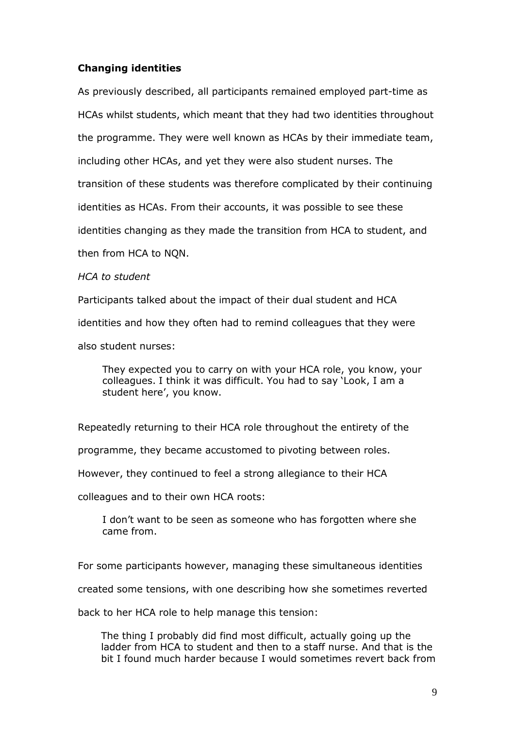#### **Changing identities**

As previously described, all participants remained employed part-time as HCAs whilst students, which meant that they had two identities throughout the programme. They were well known as HCAs by their immediate team, including other HCAs, and yet they were also student nurses. The transition of these students was therefore complicated by their continuing identities as HCAs. From their accounts, it was possible to see these identities changing as they made the transition from HCA to student, and then from HCA to NQN.

#### *HCA to student*

Participants talked about the impact of their dual student and HCA

identities and how they often had to remind colleagues that they were

also student nurses:

They expected you to carry on with your HCA role, you know, your colleagues. I think it was difficult. You had to say 'Look, I am a student here', you know.

Repeatedly returning to their HCA role throughout the entirety of the

programme, they became accustomed to pivoting between roles.

However, they continued to feel a strong allegiance to their HCA

colleagues and to their own HCA roots:

I don't want to be seen as someone who has forgotten where she came from.

For some participants however, managing these simultaneous identities

created some tensions, with one describing how she sometimes reverted

back to her HCA role to help manage this tension:

The thing I probably did find most difficult, actually going up the ladder from HCA to student and then to a staff nurse. And that is the bit I found much harder because I would sometimes revert back from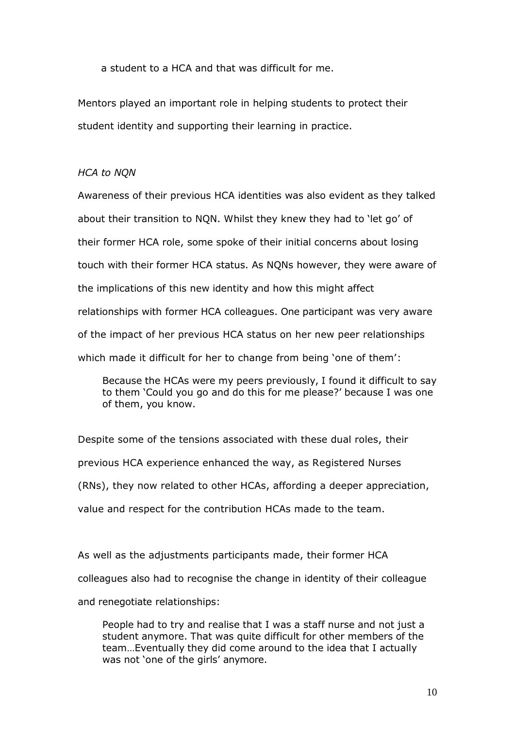a student to a HCA and that was difficult for me.

Mentors played an important role in helping students to protect their student identity and supporting their learning in practice.

#### *HCA to NQN*

Awareness of their previous HCA identities was also evident as they talked about their transition to NQN. Whilst they knew they had to 'let go' of their former HCA role, some spoke of their initial concerns about losing touch with their former HCA status. As NQNs however, they were aware of the implications of this new identity and how this might affect relationships with former HCA colleagues. One participant was very aware of the impact of her previous HCA status on her new peer relationships which made it difficult for her to change from being 'one of them':

Because the HCAs were my peers previously, I found it difficult to say to them 'Could you go and do this for me please?' because I was one of them, you know.

Despite some of the tensions associated with these dual roles, their previous HCA experience enhanced the way, as Registered Nurses (RNs), they now related to other HCAs, affording a deeper appreciation, value and respect for the contribution HCAs made to the team.

As well as the adjustments participants made, their former HCA colleagues also had to recognise the change in identity of their colleague and renegotiate relationships:

People had to try and realise that I was a staff nurse and not just a student anymore. That was quite difficult for other members of the team…Eventually they did come around to the idea that I actually was not 'one of the girls' anymore.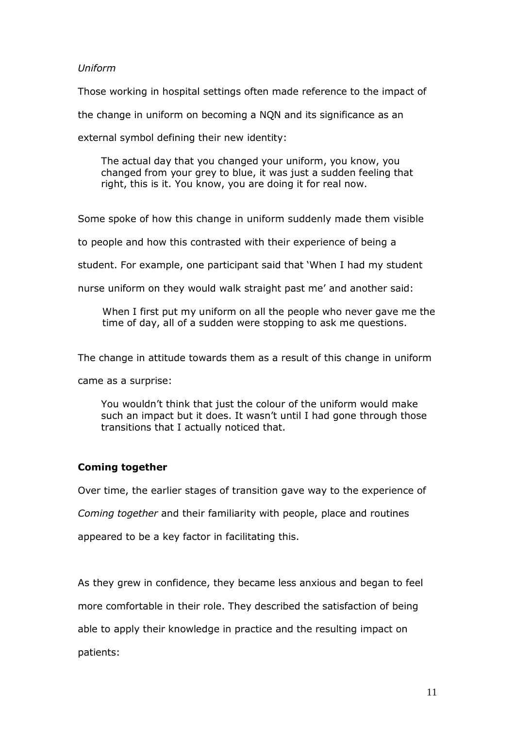#### *Uniform*

Those working in hospital settings often made reference to the impact of

the change in uniform on becoming a NQN and its significance as an

external symbol defining their new identity:

The actual day that you changed your uniform, you know, you changed from your grey to blue, it was just a sudden feeling that right, this is it. You know, you are doing it for real now.

Some spoke of how this change in uniform suddenly made them visible

to people and how this contrasted with their experience of being a

student. For example, one participant said that 'When I had my student

nurse uniform on they would walk straight past me' and another said:

When I first put my uniform on all the people who never gave me the time of day, all of a sudden were stopping to ask me questions.

The change in attitude towards them as a result of this change in uniform

came as a surprise:

You wouldn't think that just the colour of the uniform would make such an impact but it does. It wasn't until I had gone through those transitions that I actually noticed that.

#### **Coming together**

Over time, the earlier stages of transition gave way to the experience of *Coming together* and their familiarity with people, place and routines appeared to be a key factor in facilitating this.

As they grew in confidence, they became less anxious and began to feel more comfortable in their role. They described the satisfaction of being able to apply their knowledge in practice and the resulting impact on patients: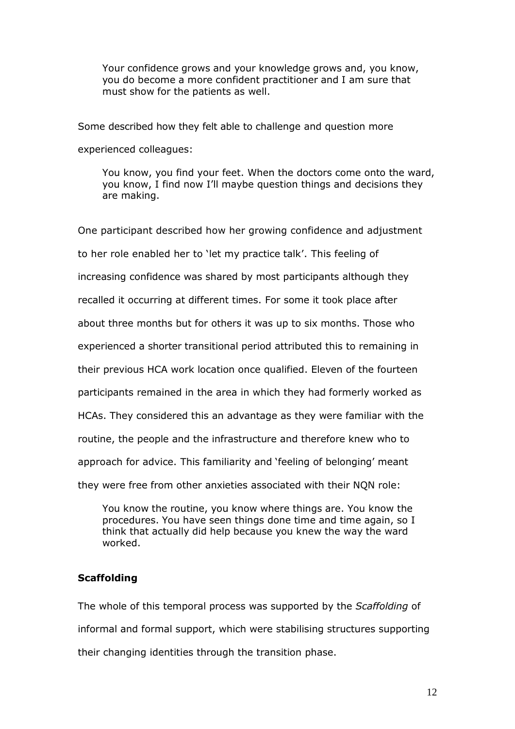Your confidence grows and your knowledge grows and, you know, you do become a more confident practitioner and I am sure that must show for the patients as well.

Some described how they felt able to challenge and question more experienced colleagues:

You know, you find your feet. When the doctors come onto the ward, you know, I find now I'll maybe question things and decisions they are making.

One participant described how her growing confidence and adjustment to her role enabled her to 'let my practice talk'. This feeling of increasing confidence was shared by most participants although they recalled it occurring at different times. For some it took place after about three months but for others it was up to six months. Those who experienced a shorter transitional period attributed this to remaining in their previous HCA work location once qualified. Eleven of the fourteen participants remained in the area in which they had formerly worked as HCAs. They considered this an advantage as they were familiar with the routine, the people and the infrastructure and therefore knew who to approach for advice. This familiarity and 'feeling of belonging' meant they were free from other anxieties associated with their NQN role:

You know the routine, you know where things are. You know the procedures. You have seen things done time and time again, so I think that actually did help because you knew the way the ward worked.

#### **Scaffolding**

The whole of this temporal process was supported by the *Scaffolding* of informal and formal support, which were stabilising structures supporting their changing identities through the transition phase.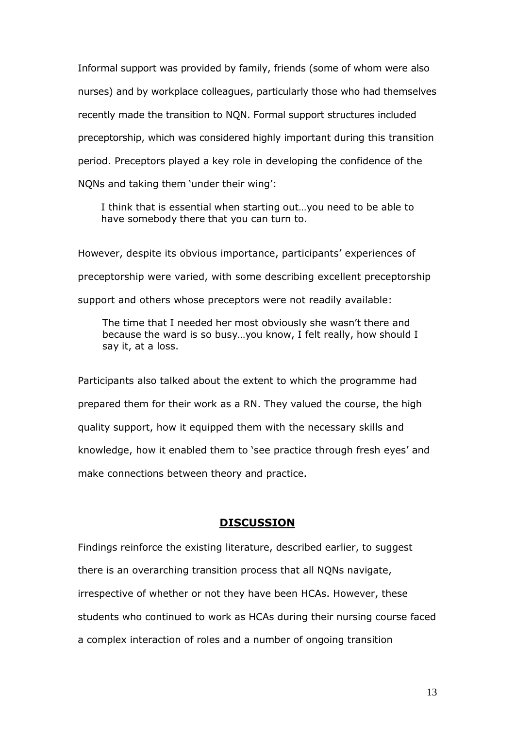Informal support was provided by family, friends (some of whom were also nurses) and by workplace colleagues, particularly those who had themselves recently made the transition to NQN. Formal support structures included preceptorship, which was considered highly important during this transition period. Preceptors played a key role in developing the confidence of the NQNs and taking them 'under their wing':

I think that is essential when starting out…you need to be able to have somebody there that you can turn to.

However, despite its obvious importance, participants' experiences of preceptorship were varied, with some describing excellent preceptorship support and others whose preceptors were not readily available:

The time that I needed her most obviously she wasn't there and because the ward is so busy…you know, I felt really, how should I say it, at a loss.

Participants also talked about the extent to which the programme had prepared them for their work as a RN. They valued the course, the high quality support, how it equipped them with the necessary skills and knowledge, how it enabled them to 'see practice through fresh eyes' and make connections between theory and practice.

#### **DISCUSSION**

Findings reinforce the existing literature, described earlier, to suggest there is an overarching transition process that all NQNs navigate, irrespective of whether or not they have been HCAs. However, these students who continued to work as HCAs during their nursing course faced a complex interaction of roles and a number of ongoing transition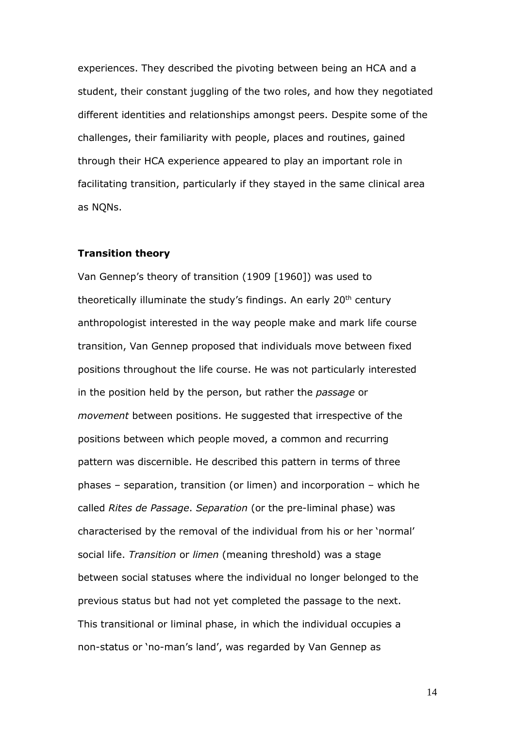experiences. They described the pivoting between being an HCA and a student, their constant juggling of the two roles, and how they negotiated different identities and relationships amongst peers. Despite some of the challenges, their familiarity with people, places and routines, gained through their HCA experience appeared to play an important role in facilitating transition, particularly if they stayed in the same clinical area as NQNs.

#### **Transition theory**

Van Gennep's theory of transition (1909 [1960]) was used to theoretically illuminate the study's findings. An early 20<sup>th</sup> century anthropologist interested in the way people make and mark life course transition, Van Gennep proposed that individuals move between fixed positions throughout the life course. He was not particularly interested in the position held by the person, but rather the *passage* or *movement* between positions. He suggested that irrespective of the positions between which people moved, a common and recurring pattern was discernible. He described this pattern in terms of three phases – separation, transition (or limen) and incorporation – which he called *Rites de Passage*. *Separation* (or the pre-liminal phase) was characterised by the removal of the individual from his or her 'normal' social life. *Transition* or *limen* (meaning threshold) was a stage between social statuses where the individual no longer belonged to the previous status but had not yet completed the passage to the next. This transitional or liminal phase, in which the individual occupies a non-status or 'no-man's land', was regarded by Van Gennep as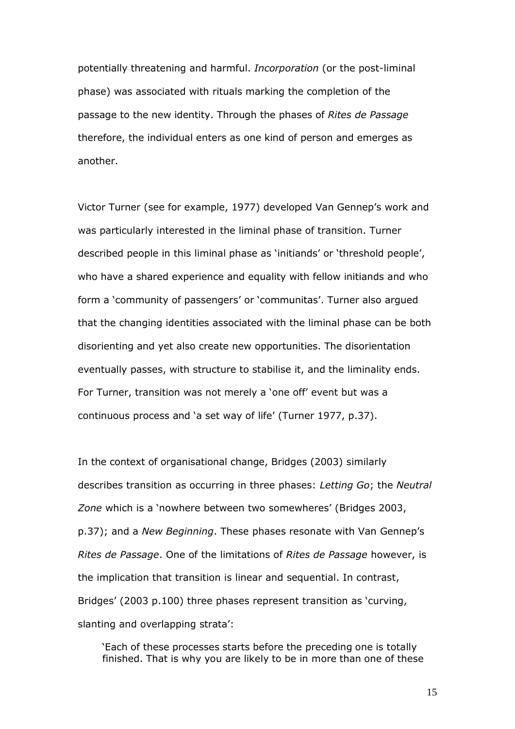potentially threatening and harmful. *Incorporation* (or the post-liminal phase) was associated with rituals marking the completion of the passage to the new identity. Through the phases of *Rites de Passage* therefore, the individual enters as one kind of person and emerges as another.

Victor Turner (see for example, 1977) developed Van Gennep's work and was particularly interested in the liminal phase of transition. Turner described people in this liminal phase as 'initiands' or 'threshold people', who have a shared experience and equality with fellow initiands and who form a 'community of passengers' or 'communitas'. Turner also argued that the changing identities associated with the liminal phase can be both disorienting and yet also create new opportunities. The disorientation eventually passes, with structure to stabilise it, and the liminality ends. For Turner, transition was not merely a 'one off' event but was a continuous process and 'a set way of life' (Turner 1977, p.37).

In the context of organisational change, Bridges (2003) similarly describes transition as occurring in three phases: *Letting Go*; the *Neutral Zone* which is a 'nowhere between two somewheres' (Bridges 2003, p.37); and a *New Beginning*. These phases resonate with Van Gennep's *Rites de Passage*. One of the limitations of *Rites de Passage* however, is the implication that transition is linear and sequential. In contrast, Bridges' (2003 p.100) three phases represent transition as 'curving, slanting and overlapping strata':

'Each of these processes starts before the preceding one is totally finished. That is why you are likely to be in more than one of these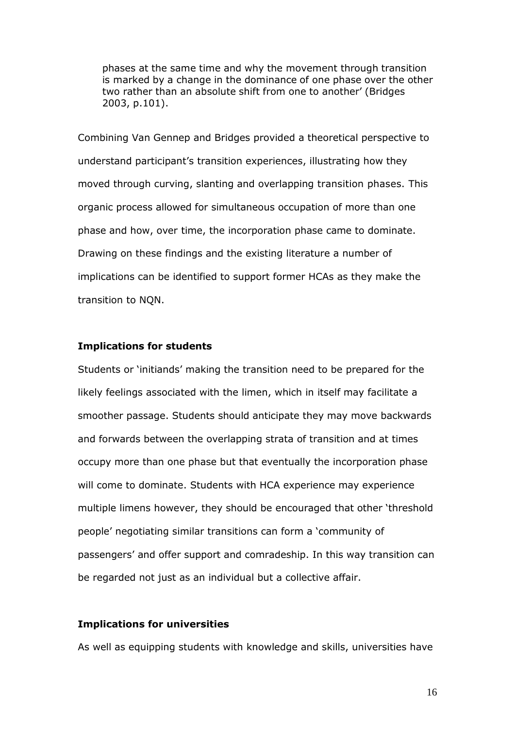phases at the same time and why the movement through transition is marked by a change in the dominance of one phase over the other two rather than an absolute shift from one to another' (Bridges 2003, p.101).

Combining Van Gennep and Bridges provided a theoretical perspective to understand participant's transition experiences, illustrating how they moved through curving, slanting and overlapping transition phases. This organic process allowed for simultaneous occupation of more than one phase and how, over time, the incorporation phase came to dominate. Drawing on these findings and the existing literature a number of implications can be identified to support former HCAs as they make the transition to NQN.

#### **Implications for students**

Students or 'initiands' making the transition need to be prepared for the likely feelings associated with the limen, which in itself may facilitate a smoother passage. Students should anticipate they may move backwards and forwards between the overlapping strata of transition and at times occupy more than one phase but that eventually the incorporation phase will come to dominate. Students with HCA experience may experience multiple limens however, they should be encouraged that other 'threshold people' negotiating similar transitions can form a 'community of passengers' and offer support and comradeship. In this way transition can be regarded not just as an individual but a collective affair.

#### **Implications for universities**

As well as equipping students with knowledge and skills, universities have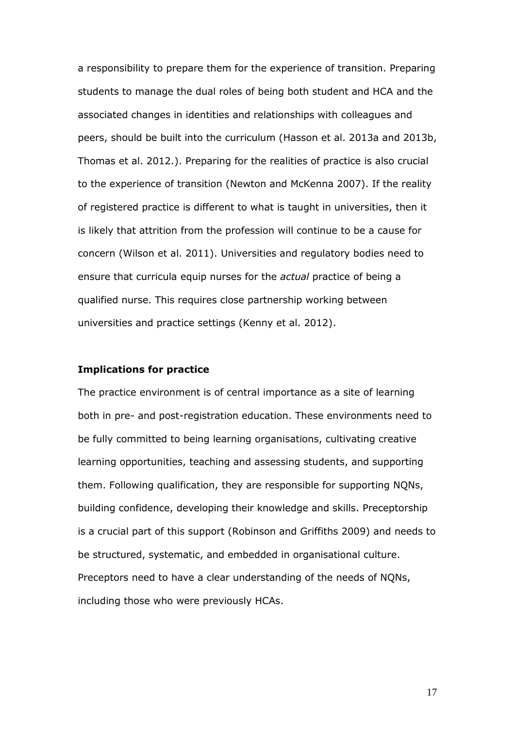a responsibility to prepare them for the experience of transition. Preparing students to manage the dual roles of being both student and HCA and the associated changes in identities and relationships with colleagues and peers, should be built into the curriculum (Hasson et al. 2013a and 2013b, Thomas et al. 2012.). Preparing for the realities of practice is also crucial to the experience of transition (Newton and McKenna 2007). If the reality of registered practice is different to what is taught in universities, then it is likely that attrition from the profession will continue to be a cause for concern (Wilson et al. 2011). Universities and regulatory bodies need to ensure that curricula equip nurses for the *actual* practice of being a qualified nurse. This requires close partnership working between universities and practice settings (Kenny et al. 2012).

#### **Implications for practice**

The practice environment is of central importance as a site of learning both in pre- and post-registration education. These environments need to be fully committed to being learning organisations, cultivating creative learning opportunities, teaching and assessing students, and supporting them. Following qualification, they are responsible for supporting NQNs, building confidence, developing their knowledge and skills. Preceptorship is a crucial part of this support (Robinson and Griffiths 2009) and needs to be structured, systematic, and embedded in organisational culture. Preceptors need to have a clear understanding of the needs of NQNs, including those who were previously HCAs.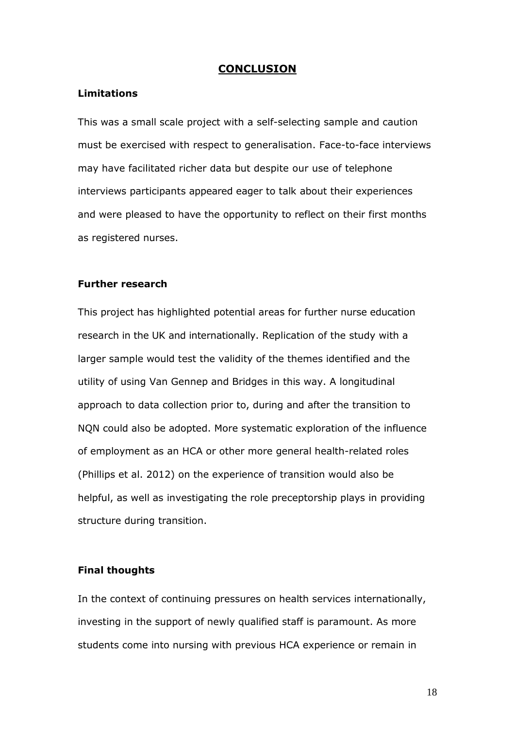#### **CONCLUSION**

#### **Limitations**

This was a small scale project with a self-selecting sample and caution must be exercised with respect to generalisation. Face-to-face interviews may have facilitated richer data but despite our use of telephone interviews participants appeared eager to talk about their experiences and were pleased to have the opportunity to reflect on their first months as registered nurses.

#### **Further research**

This project has highlighted potential areas for further nurse education research in the UK and internationally. Replication of the study with a larger sample would test the validity of the themes identified and the utility of using Van Gennep and Bridges in this way. A longitudinal approach to data collection prior to, during and after the transition to NQN could also be adopted. More systematic exploration of the influence of employment as an HCA or other more general health-related roles (Phillips et al. 2012) on the experience of transition would also be helpful, as well as investigating the role preceptorship plays in providing structure during transition.

#### **Final thoughts**

In the context of continuing pressures on health services internationally, investing in the support of newly qualified staff is paramount. As more students come into nursing with previous HCA experience or remain in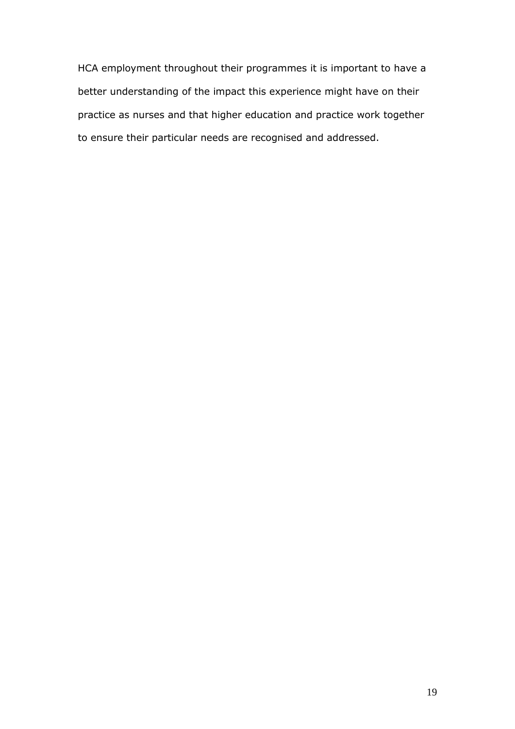HCA employment throughout their programmes it is important to have a better understanding of the impact this experience might have on their practice as nurses and that higher education and practice work together to ensure their particular needs are recognised and addressed.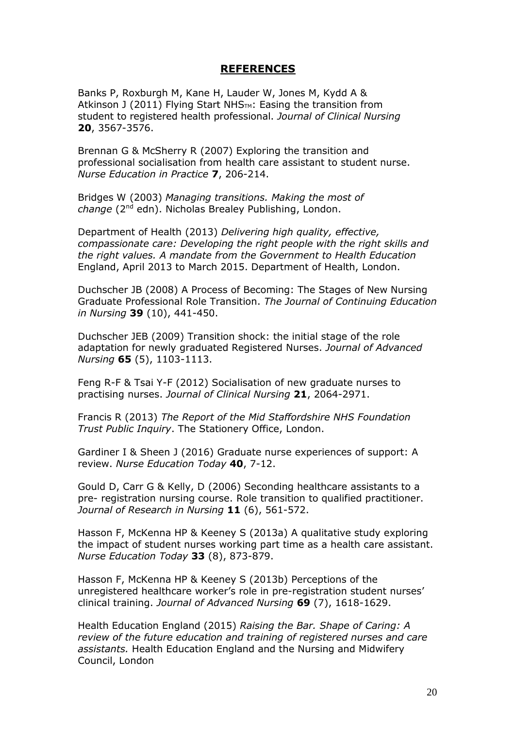#### **REFERENCES**

Banks P, Roxburgh M, Kane H, Lauder W, Jones M, Kydd A & Atkinson J (2011) Flying Start NHS<sub>TM</sub>: Easing the transition from student to registered health professional. *Journal of Clinical Nursing* **20**, 3567-3576.

Brennan G & McSherry R (2007) Exploring the transition and professional socialisation from health care assistant to student nurse. *Nurse Education in Practice* **7**, 206-214.

Bridges W (2003) *Managing transitions. Making the most of*  change (2<sup>nd</sup> edn). Nicholas Brealey Publishing, London.

Department of Health (2013) *Delivering high quality, effective, compassionate care: Developing the right people with the right skills and the right values. A mandate from the Government to Health Education*  England, April 2013 to March 2015. Department of Health, London.

Duchscher JB (2008) A Process of Becoming: The Stages of New Nursing Graduate Professional Role Transition. *The Journal of Continuing Education in Nursing* **39** (10), 441-450.

Duchscher JEB (2009) Transition shock: the initial stage of the role adaptation for newly graduated Registered Nurses. *Journal of Advanced Nursing* **65** (5), 1103-1113.

Feng R-F & Tsai Y-F (2012) Socialisation of new graduate nurses to practising nurses. *Journal of Clinical Nursing* **21**, 2064-2971.

Francis R (2013) *The Report of the Mid Staffordshire NHS Foundation Trust Public Inquiry*. The Stationery Office, London.

Gardiner I & Sheen J (2016) Graduate nurse experiences of support: A review. *Nurse Education Today* **40**, 7-12.

Gould D, Carr G & Kelly, D (2006) Seconding healthcare assistants to a pre- registration nursing course. Role transition to qualified practitioner. *Journal of Research in Nursing* **11** (6), 561-572.

Hasson F, McKenna HP & Keeney S (2013a) A qualitative study exploring the impact of student nurses working part time as a health care assistant. *Nurse Education Today* **33** (8), 873-879.

Hasson F, McKenna HP & Keeney S (2013b) Perceptions of the unregistered healthcare worker's role in pre-registration student nurses' clinical training. *Journal of Advanced Nursing* **69** (7), 1618-1629.

Health Education England (2015) *Raising the Bar. Shape of Caring: A review of the future education and training of registered nurses and care assistants.* Health Education England and the Nursing and Midwifery Council, London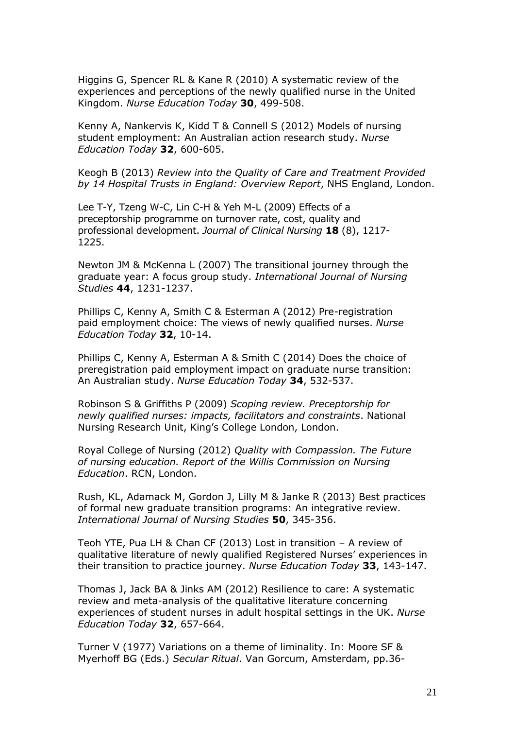Higgins G, Spencer RL & Kane R (2010) A systematic review of the experiences and perceptions of the newly qualified nurse in the United Kingdom. *Nurse Education Today* **30**, 499-508.

Kenny A, Nankervis K, Kidd T & Connell S (2012) Models of nursing student employment: An Australian action research study. *Nurse Education Today* **32**, 600-605.

Keogh B (2013) *Review into the Quality of Care and Treatment Provided by 14 Hospital Trusts in England: Overview Report*, NHS England, London.

Lee T-Y, Tzeng W-C, Lin C-H & Yeh M-L (2009) Effects of a preceptorship programme on turnover rate, cost, quality and professional development. *Journal of Clinical Nursing* **18** (8), 1217- 1225.

Newton JM & McKenna L (2007) The transitional journey through the graduate year: A focus group study. *International Journal of Nursing Studies* **44**, 1231-1237.

Phillips C, Kenny A, Smith C & Esterman A (2012) Pre-registration paid employment choice: The views of newly qualified nurses. *Nurse Education Today* **32**, 10-14.

Phillips C, Kenny A, Esterman A & Smith C (2014) Does the choice of preregistration paid employment impact on graduate nurse transition: An Australian study. *Nurse Education Today* **34**, 532-537.

Robinson S & Griffiths P (2009) *Scoping review. Preceptorship for newly qualified nurses: impacts, facilitators and constraints*. National Nursing Research Unit, King's College London, London.

Royal College of Nursing (2012) *Quality with Compassion. The Future of nursing education. Report of the Willis Commission on Nursing Education*. RCN, London.

Rush, KL, Adamack M, Gordon J, Lilly M & Janke R (2013) Best practices of formal new graduate transition programs: An integrative review. *International Journal of Nursing Studies* **50**, 345-356.

Teoh YTE, Pua LH & Chan CF (2013) Lost in transition – A review of qualitative literature of newly qualified Registered Nurses' experiences in their transition to practice journey. *Nurse Education Today* **33**, 143-147.

Thomas J, Jack BA & Jinks AM (2012) Resilience to care: A systematic review and meta-analysis of the qualitative literature concerning experiences of student nurses in adult hospital settings in the UK. *Nurse Education Today* **32**, 657-664.

Turner V (1977) Variations on a theme of liminality. In: Moore SF & Myerhoff BG (Eds.) *Secular Ritual*. Van Gorcum, Amsterdam, pp.36